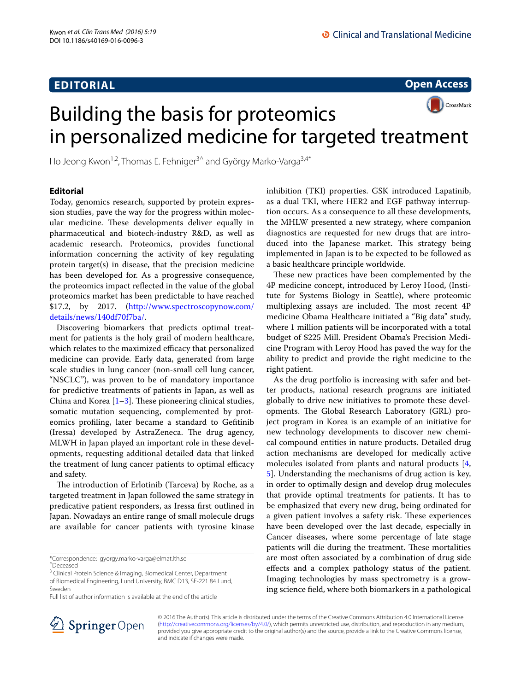# **EDITORIAL**

**Open Access**



Ho Jeong Kwon<sup>1,2</sup>, Thomas E. Fehniger<sup>3^</sup> and György Marko-Varga<sup>3,4\*</sup>

## **Editorial**

Today, genomics research, supported by protein expression studies, pave the way for the progress within molecular medicine. These developments deliver equally in pharmaceutical and biotech-industry R&D, as well as academic research. Proteomics, provides functional information concerning the activity of key regulating protein target(s) in disease, that the precision medicine has been developed for. As a progressive consequence, the proteomics impact reflected in the value of the global proteomics market has been predictable to have reached \$17.2, by 2017. ([http://www.spectroscopynow.com/](http://www.spectroscopynow.com/details/news/140df70f7ba/) [details/news/140df70f7ba/](http://www.spectroscopynow.com/details/news/140df70f7ba/).

Discovering biomarkers that predicts optimal treatment for patients is the holy grail of modern healthcare, which relates to the maximized efficacy that personalized medicine can provide. Early data, generated from large scale studies in lung cancer (non-small cell lung cancer, "NSCLC"), was proven to be of mandatory importance for predictive treatments of patients in Japan, as well as China and Korea  $[1-3]$  $[1-3]$ . These pioneering clinical studies, somatic mutation sequencing, complemented by proteomics profiling, later became a standard to Gefitinib (Iressa) developed by AstraZeneca. The drug agency, MLWH in Japan played an important role in these developments, requesting additional detailed data that linked the treatment of lung cancer patients to optimal efficacy and safety.

The introduction of Erlotinib (Tarceva) by Roche, as a targeted treatment in Japan followed the same strategy in predicative patient responders, as Iressa first outlined in Japan. Nowadays an entire range of small molecule drugs are available for cancer patients with tyrosine kinase

^Deceased



These new practices have been complemented by the 4P medicine concept, introduced by Leroy Hood, (Institute for Systems Biology in Seattle), where proteomic multiplexing assays are included. The most recent 4P medicine Obama Healthcare initiated a "Big data" study, where 1 million patients will be incorporated with a total budget of \$225 Mill. President Obama's Precision Medicine Program with Leroy Hood has paved the way for the ability to predict and provide the right medicine to the right patient.

As the drug portfolio is increasing with safer and better products, national research programs are initiated globally to drive new initiatives to promote these developments. The Global Research Laboratory (GRL) project program in Korea is an example of an initiative for new technology developments to discover new chemical compound entities in nature products. Detailed drug action mechanisms are developed for medically active molecules isolated from plants and natural products [\[4](#page-1-2), [5\]](#page-1-3). Understanding the mechanisms of drug action is key, in order to optimally design and develop drug molecules that provide optimal treatments for patients. It has to be emphasized that every new drug, being ordinated for a given patient involves a safety risk. These experiences have been developed over the last decade, especially in Cancer diseases, where some percentage of late stage patients will die during the treatment. These mortalities are most often associated by a combination of drug side effects and a complex pathology status of the patient. Imaging technologies by mass spectrometry is a growing science field, where both biomarkers in a pathological



© 2016 The Author(s). This article is distributed under the terms of the Creative Commons Attribution 4.0 International License [\(http://creativecommons.org/licenses/by/4.0/\)](http://creativecommons.org/licenses/by/4.0/), which permits unrestricted use, distribution, and reproduction in any medium, provided you give appropriate credit to the original author(s) and the source, provide a link to the Creative Commons license, and indicate if changes were made.

<sup>\*</sup>Correspondence: gyorgy.marko‑varga@elmat.lth.se

<sup>&</sup>lt;sup>3</sup> Clinical Protein Science & Imaging, Biomedical Center, Department of Biomedical Engineering, Lund University, BMC D13, SE‑221 84 Lund, Sweden

Full list of author information is available at the end of the article